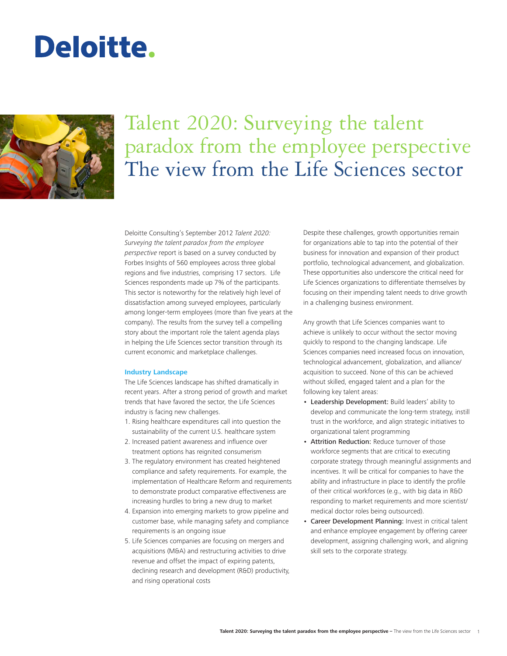# Deloitte.



# Talent 2020: Surveying the talent paradox from the employee perspective The view from the Life Sciences sector

Deloitte Consulting's September 2012 *Talent 2020: Surveying the talent paradox from the employee perspective* report is based on a survey conducted by Forbes Insights of 560 employees across three global regions and five industries, comprising 17 sectors. Life Sciences respondents made up 7% of the participants. This sector is noteworthy for the relatively high level of dissatisfaction among surveyed employees, particularly among longer-term employees (more than five years at the company). The results from the survey tell a compelling story about the important role the talent agenda plays in helping the Life Sciences sector transition through its current economic and marketplace challenges.

#### **Industry Landscape**

The Life Sciences landscape has shifted dramatically in recent years. After a strong period of growth and market trends that have favored the sector, the Life Sciences industry is facing new challenges.

- 1. Rising healthcare expenditures call into question the sustainability of the current U.S. healthcare system
- 2. Increased patient awareness and influence over treatment options has reignited consumerism
- 3. The regulatory environment has created heightened compliance and safety requirements. For example, the implementation of Healthcare Reform and requirements to demonstrate product comparative effectiveness are increasing hurdles to bring a new drug to market
- 4. Expansion into emerging markets to grow pipeline and customer base, while managing safety and compliance requirements is an ongoing issue
- 5. Life Sciences companies are focusing on mergers and acquisitions (M&A) and restructuring activities to drive revenue and offset the impact of expiring patents, declining research and development (R&D) productivity, and rising operational costs

Despite these challenges, growth opportunities remain for organizations able to tap into the potential of their business for innovation and expansion of their product portfolio, technological advancement, and globalization. These opportunities also underscore the critical need for Life Sciences organizations to differentiate themselves by focusing on their impending talent needs to drive growth in a challenging business environment.

Any growth that Life Sciences companies want to achieve is unlikely to occur without the sector moving quickly to respond to the changing landscape. Life Sciences companies need increased focus on innovation, technological advancement, globalization, and alliance/ acquisition to succeed. None of this can be achieved without skilled, engaged talent and a plan for the following key talent areas:

- Leadership Development: Build leaders' ability to develop and communicate the long-term strategy, instill trust in the workforce, and align strategic initiatives to organizational talent programming
- Attrition Reduction: Reduce turnover of those workforce segments that are critical to executing corporate strategy through meaningful assignments and incentives. It will be critical for companies to have the ability and infrastructure in place to identify the profile of their critical workforces (e.g., with big data in R&D responding to market requirements and more scientist/ medical doctor roles being outsourced).
- Career Development Planning: Invest in critical talent and enhance employee engagement by offering career development, assigning challenging work, and aligning skill sets to the corporate strategy.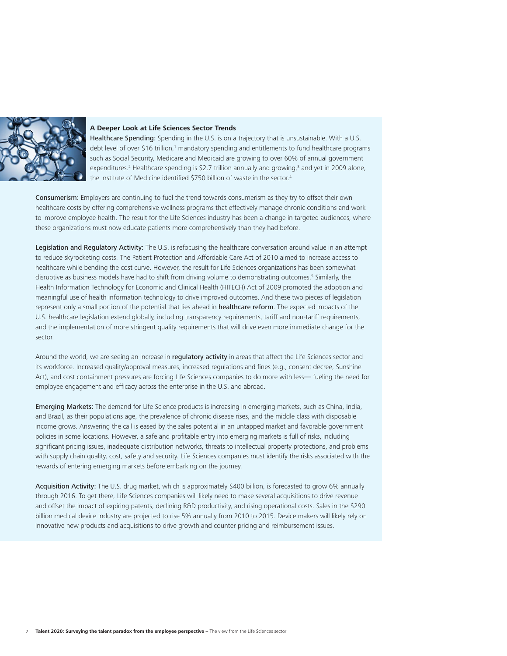

# **A Deeper Look at Life Sciences Sector Trends**

Healthcare Spending: Spending in the U.S. is on a trajectory that is unsustainable. With a U.S. debt level of over \$16 trillion,<sup>1</sup> mandatory spending and entitlements to fund healthcare programs such as Social Security, Medicare and Medicaid are growing to over 60% of annual government expenditures.<sup>2</sup> Healthcare spending is \$2.7 trillion annually and growing,<sup>3</sup> and yet in 2009 alone, the Institute of Medicine identified \$750 billion of waste in the sector.<sup>4</sup>

Consumerism: Employers are continuing to fuel the trend towards consumerism as they try to offset their own healthcare costs by offering comprehensive wellness programs that effectively manage chronic conditions and work to improve employee health. The result for the Life Sciences industry has been a change in targeted audiences, where these organizations must now educate patients more comprehensively than they had before.

Legislation and Regulatory Activity: The U.S. is refocusing the healthcare conversation around value in an attempt to reduce skyrocketing costs. The Patient Protection and Affordable Care Act of 2010 aimed to increase access to healthcare while bending the cost curve. However, the result for Life Sciences organizations has been somewhat disruptive as business models have had to shift from driving volume to demonstrating outcomes.<sup>5</sup> Similarly, the Health Information Technology for Economic and Clinical Health (HITECH) Act of 2009 promoted the adoption and meaningful use of health information technology to drive improved outcomes. And these two pieces of legislation represent only a small portion of the potential that lies ahead in healthcare reform. The expected impacts of the U.S. healthcare legislation extend globally, including transparency requirements, tariff and non-tariff requirements, and the implementation of more stringent quality requirements that will drive even more immediate change for the sector.

Around the world, we are seeing an increase in regulatory activity in areas that affect the Life Sciences sector and its workforce. Increased quality/approval measures, increased regulations and fines (e.g., consent decree, Sunshine Act), and cost containment pressures are forcing Life Sciences companies to do more with less— fueling the need for employee engagement and efficacy across the enterprise in the U.S. and abroad.

Emerging Markets: The demand for Life Science products is increasing in emerging markets, such as China, India, and Brazil, as their populations age, the prevalence of chronic disease rises, and the middle class with disposable income grows. Answering the call is eased by the sales potential in an untapped market and favorable government policies in some locations. However, a safe and profitable entry into emerging markets is full of risks, including significant pricing issues, inadequate distribution networks, threats to intellectual property protections, and problems with supply chain quality, cost, safety and security. Life Sciences companies must identify the risks associated with the rewards of entering emerging markets before embarking on the journey.

Acquisition Activity: The U.S. drug market, which is approximately \$400 billion, is forecasted to grow 6% annually through 2016. To get there, Life Sciences companies will likely need to make several acquisitions to drive revenue and offset the impact of expiring patents, declining R&D productivity, and rising operational costs. Sales in the \$290 billion medical device industry are projected to rise 5% annually from 2010 to 2015. Device makers will likely rely on innovative new products and acquisitions to drive growth and counter pricing and reimbursement issues.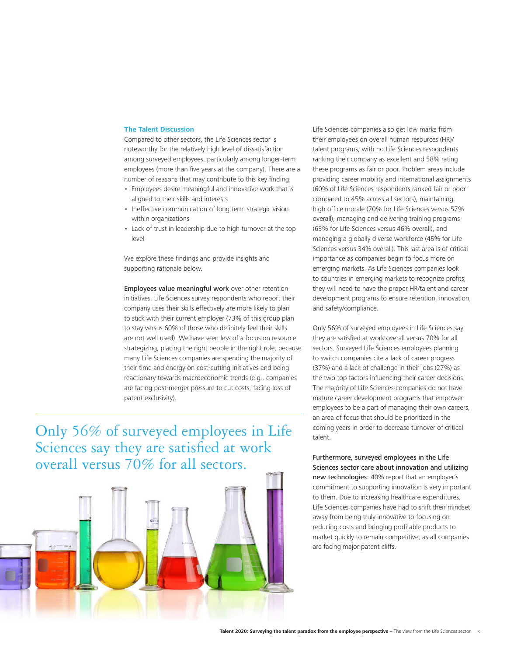## **The Talent Discussion**

Compared to other sectors, the Life Sciences sector is noteworthy for the relatively high level of dissatisfaction among surveyed employees, particularly among longer-term employees (more than five years at the company). There are a number of reasons that may contribute to this key finding:

- • Employees desire meaningful and innovative work that is aligned to their skills and interests
- • Ineffective communication of long term strategic vision within organizations
- Lack of trust in leadership due to high turnover at the top level

We explore these findings and provide insights and supporting rationale below.

Employees value meaningful work over other retention initiatives. Life Sciences survey respondents who report their company uses their skills effectively are more likely to plan to stick with their current employer (73% of this group plan to stay versus 60% of those who definitely feel their skills are not well used). We have seen less of a focus on resource strategizing, placing the right people in the right role, because many Life Sciences companies are spending the majority of their time and energy on cost-cutting initiatives and being reactionary towards macroeconomic trends (e.g., companies are facing post-merger pressure to cut costs, facing loss of patent exclusivity).

Only 56% of surveyed employees in Life Sciences say they are satisfied at work overall versus 70% for all sectors.



Life Sciences companies also get low marks from their employees on overall human resources (HR)/ talent programs, with no Life Sciences respondents ranking their company as excellent and 58% rating these programs as fair or poor. Problem areas include providing career mobility and international assignments (60% of Life Sciences respondents ranked fair or poor compared to 45% across all sectors), maintaining high office morale (70% for Life Sciences versus 57% overall), managing and delivering training programs (63% for Life Sciences versus 46% overall), and managing a globally diverse workforce (45% for Life Sciences versus 34% overall). This last area is of critical importance as companies begin to focus more on emerging markets. As Life Sciences companies look to countries in emerging markets to recognize profits, they will need to have the proper HR/talent and career development programs to ensure retention, innovation, and safety/compliance.

Only 56% of surveyed employees in Life Sciences say they are satisfied at work overall versus 70% for all sectors. Surveyed Life Sciences employees planning to switch companies cite a lack of career progress (37%) and a lack of challenge in their jobs (27%) as the two top factors influencing their career decisions. The majority of Life Sciences companies do not have mature career development programs that empower employees to be a part of managing their own careers, an area of focus that should be prioritized in the coming years in order to decrease turnover of critical talent.

Furthermore, surveyed employees in the Life Sciences sector care about innovation and utilizing new technologies: 40% report that an employer's commitment to supporting innovation is very important to them. Due to increasing healthcare expenditures, Life Sciences companies have had to shift their mindset away from being truly innovative to focusing on reducing costs and bringing profitable products to market quickly to remain competitive, as all companies are facing major patent cliffs.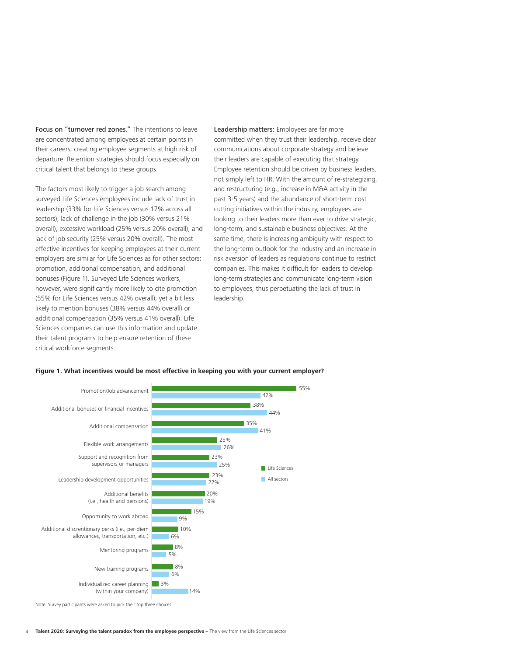Focus on "turnover red zones." The intentions to leave are concentrated among employees at certain points in their careers, creating employee segments at high risk of departure. Retention strategies should focus especially on critical talent that belongs to these groups.

The factors most likely to trigger a job search among surveyed Life Sciences employees include lack of trust in leadership (33% for Life Sciences versus 17% across all sectors), lack of challenge in the job (30% versus 21% overall), excessive workload (25% versus 20% overall), and lack of job security (25% versus 20% overall). The most effective incentives for keeping employees at their current employers are similar for Life Sciences as for other sectors: promotion, additional compensation, and additional bonuses (Figure 1). Surveyed Life Sciences workers, however, were significantly more likely to cite promotion (55% for Life Sciences versus 42% overall), yet a bit less likely to mention bonuses (38% versus 44% overall) or additional compensation (35% versus 41% overall). Life Sciences companies can use this information and update their talent programs to help ensure retention of these critical workforce segments.

Leadership matters: Employees are far more committed when they trust their leadership, receive clear communications about corporate strategy and believe their leaders are capable of executing that strategy. Employee retention should be driven by business leaders, not simply left to HR. With the amount of re-strategizing, and restructuring (e.g., increase in M&A activity in the past 3-5 years) and the abundance of short-term cost cutting initiatives within the industry, employees are looking to their leaders more than ever to drive strategic, long-term, and sustainable business objectives. At the same time, there is increasing ambiguity with respect to the long-term outlook for the industry and an increase in risk aversion of leaders as regulations continue to restrict companies. This makes it difficult for leaders to develop long-term strategies and communicate long-term vision to employees, thus perpetuating the lack of trust in leadership.



#### **Figure 1. What incentives would be most effective in keeping you with your current employer?**

<sup>4</sup> **Talent 2020: Surveying the talent paradox from the employee perspective - The view from the Life Sciences sector**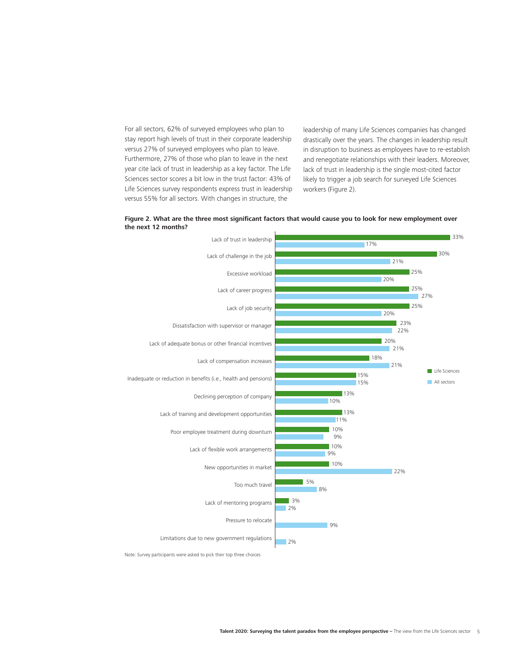For all sectors, 62% of surveyed employees who plan to stay report high levels of trust in their corporate leadership versus 27% of surveyed employees who plan to leave. Furthermore, 27% of those who plan to leave in the next year cite lack of trust in leadership as a key factor. The Life Sciences sector scores a bit low in the trust factor: 43% of Life Sciences survey respondents express trust in leadership versus 55% for all sectors. With changes in structure, the

leadership of many Life Sciences companies has changed drastically over the years. The changes in leadership result in disruption to business as employees have to re-establish and renegotiate relationships with their leaders. Moreover, lack of trust in leadership is the single most-cited factor likely to trigger a job search for surveyed Life Sciences workers (Figure 2).





Note: Survey participants were asked to pick their top three choices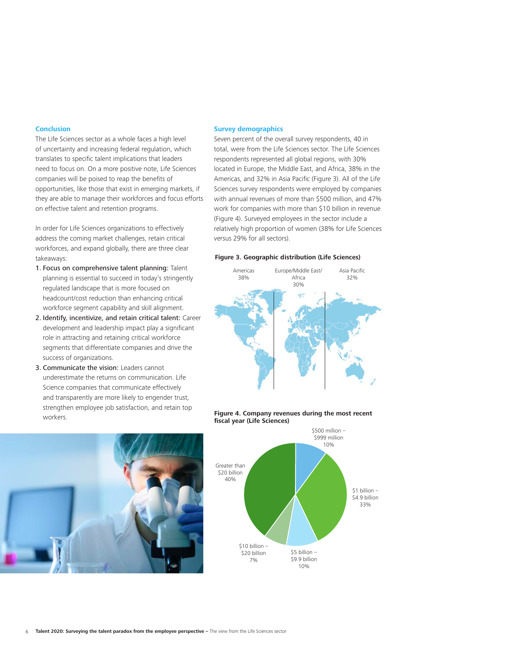#### **Conclusion**

The Life Sciences sector as a whole faces a high level of uncertainty and increasing federal regulation, which translates to specific talent implications that leaders need to focus on. On a more positive note, Life Sciences companies will be poised to reap the benefits of opportunities, like those that exist in emerging markets, if they are able to manage their workforces and focus efforts on effective talent and retention programs.

In order for Life Sciences organizations to effectively address the coming market challenges, retain critical workforces, and expand globally, there are three clear takeaways:

- 1. Focus on comprehensive talent planning: Talent planning is essential to succeed in today's stringently regulated landscape that is more focused on headcount/cost reduction than enhancing critical workforce segment capability and skill alignment.
- 2. Identify, incentivize, and retain critical talent: Career development and leadership impact play a significant role in attracting and retaining critical workforce segments that differentiate companies and drive the success of organizations.
- 3. Communicate the vision: Leaders cannot underestimate the returns on communication. Life Science companies that communicate effectively and transparently are more likely to engender trust, strengthen employee job satisfaction, and retain top workers.



## **Survey demographics**

Seven percent of the overall survey respondents, 40 in total, were from the Life Sciences sector. The Life Sciences respondents represented all global regions, with 30% located in Europe, the Middle East, and Africa, 38% in the Americas, and 32% in Asia Pacific (Figure 3). All of the Life Sciences survey respondents were employed by companies with annual revenues of more than \$500 million, and 47% work for companies with more than \$10 billion in revenue (Figure 4). Surveyed employees in the sector include a relatively high proportion of women (38% for Life Sciences versus 29% for all sectors).

#### **Figure 3. Geographic distribution (Life Sciences)**



#### **Figure 4. Company revenues during the most recent fiscal year (Life Sciences)**

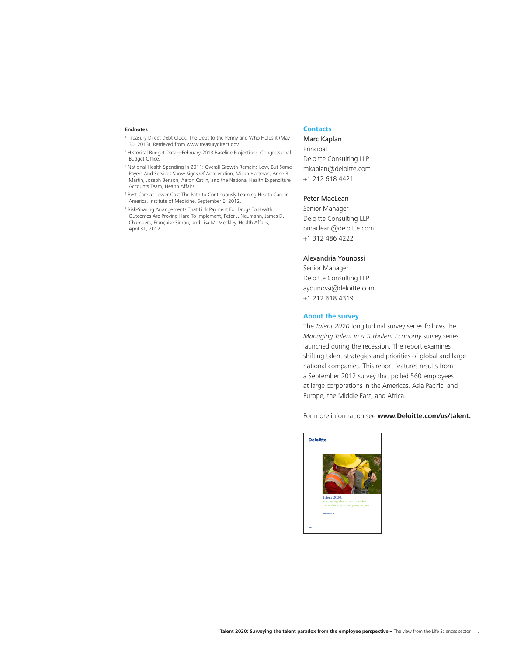#### **Endnotes**

- <sup>1</sup> Treasury Direct Debt Clock, The Debt to the Penny and Who Holds it (May 30, 2013). Retrieved from www.treasurydirect.gov.
- 2 Historical Budget Data—February 2013 Baseline Projections, Congressional Budget Office.
- <sup>3</sup> National Health Spending In 2011: Overall Growth Remains Low, But Some Payers And Services Show Signs Of Acceleration, Micah Hartman, Anne B. Martin, Joseph Benson, Aaron Catlin, and the National Health Expenditure Accounts Team, Health Affairs.
- 4 Best Care at Lower Cost The Path to Continuously Learning Health Care in America, Institute of Medicine, September 6, 2012.
- 5 Risk-Sharing Arrangements That Link Payment For Drugs To Health Outcomes Are Proving Hard To Implement, Peter J. Neumann, James D. Chambers, Françoise Simon, and Lisa M. Meckley, Health Affairs, April 31, 2012.

# **Contacts**

# Marc Kaplan

Principal Deloitte Consulting LLP mkaplan@deloitte.com +1 212 618 4421

#### Peter MacLean

Senior Manager Deloitte Consulting LLP pmaclean@deloitte.com +1 312 486 4222

#### Alexandria Younossi

Senior Manager Deloitte Consulting LLP ayounossi@deloitte.com +1 212 618 4319

#### **About the survey**

The *Talent 2020* longitudinal survey series follows the *Managing Talent in a Turbulent Economy* survey series launched during the recession. The report examines shifting talent strategies and priorities of global and large national companies. This report features results from a September 2012 survey that polled 560 employees at large corporations in the Americas, Asia Pacific, and Europe, the Middle East, and Africa.

For more information see **www.Deloitte.com/us/talent.**